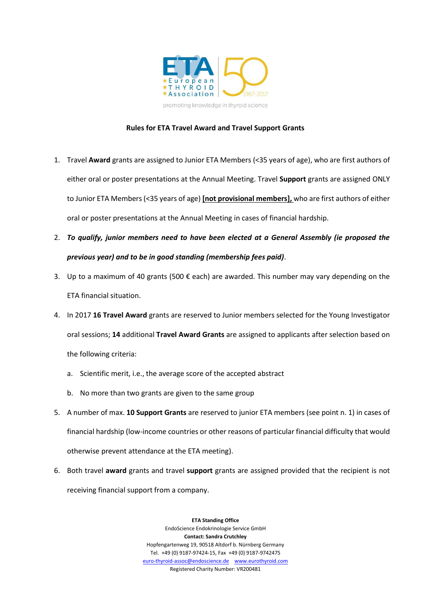

## **Rules for ETA Travel Award and Travel Support Grants**

- 1. Travel **Award** grants are assigned to Junior ETA Members (<35 years of age), who are first authors of either oral or poster presentations at the Annual Meeting. Travel **Support** grants are assigned ONLY to Junior ETA Members (<35 years of age) **[not provisional members],** who are first authors of either oral or poster presentations at the Annual Meeting in cases of financial hardship.
- 2. *To qualify, junior members need to have been elected at a General Assembly (ie proposed the previous year) and to be in good standing (membership fees paid)*.
- 3. Up to a maximum of 40 grants (500  $\epsilon$  each) are awarded. This number may vary depending on the ETA financial situation.
- 4. In 2017 **16 Travel Award** grants are reserved to Junior members selected for the Young Investigator oral sessions; **14** additional **Travel Award Grants** are assigned to applicants after selection based on the following criteria:
	- a. Scientific merit, i.e., the average score of the accepted abstract
	- b. No more than two grants are given to the same group
- 5. A number of max. **10 Support Grants** are reserved to junior ETA members (see point n. 1) in cases of financial hardship (low-income countries or other reasons of particular financial difficulty that would otherwise prevent attendance at the ETA meeting).
- 6. Both travel **award** grants and travel **support** grants are assigned provided that the recipient is not receiving financial support from a company.

**ETA Standing Office** EndoScience Endokrinologie Service GmbH **Contact: Sandra Crutchley** Hopfengartenweg 19, 90518 Altdorf b. Nürnberg Germany Tel. +49 (0) 9187-97424-15, Fax +49 (0) 9187-9742475 [euro-thyroid-assoc@endoscience.de](mailto:euro-thyroid-assoc@endoscience.de) [www.eurothyroid.com](http://www.eurothyroid.com/) Registered Charity Number: VR200481